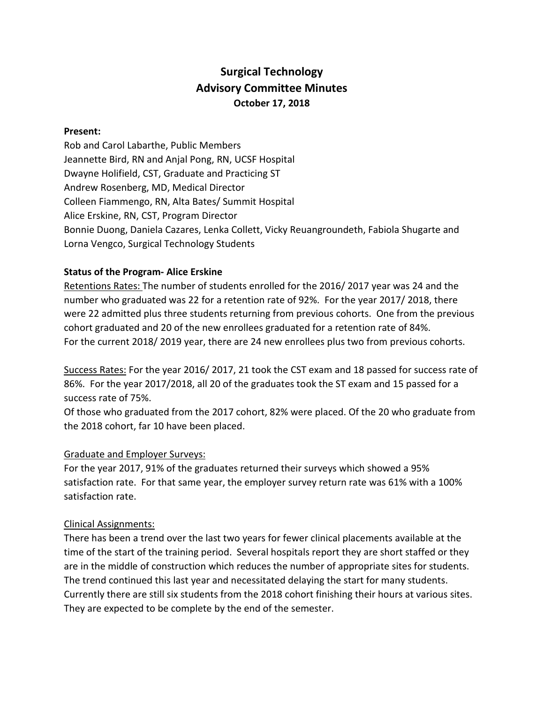# **Surgical Technology Advisory Committee Minutes October 17, 2018**

#### **Present:**

Rob and Carol Labarthe, Public Members Jeannette Bird, RN and Anjal Pong, RN, UCSF Hospital Dwayne Holifield, CST, Graduate and Practicing ST Andrew Rosenberg, MD, Medical Director Colleen Fiammengo, RN, Alta Bates/ Summit Hospital Alice Erskine, RN, CST, Program Director Bonnie Duong, Daniela Cazares, Lenka Collett, Vicky Reuangroundeth, Fabiola Shugarte and Lorna Vengco, Surgical Technology Students

#### **Status of the Program- Alice Erskine**

Retentions Rates: The number of students enrolled for the 2016/ 2017 year was 24 and the number who graduated was 22 for a retention rate of 92%. For the year 2017/ 2018, there were 22 admitted plus three students returning from previous cohorts. One from the previous cohort graduated and 20 of the new enrollees graduated for a retention rate of 84%. For the current 2018/ 2019 year, there are 24 new enrollees plus two from previous cohorts.

Success Rates: For the year 2016/ 2017, 21 took the CST exam and 18 passed for success rate of 86%. For the year 2017/2018, all 20 of the graduates took the ST exam and 15 passed for a success rate of 75%.

Of those who graduated from the 2017 cohort, 82% were placed. Of the 20 who graduate from the 2018 cohort, far 10 have been placed.

#### Graduate and Employer Surveys:

For the year 2017, 91% of the graduates returned their surveys which showed a 95% satisfaction rate. For that same year, the employer survey return rate was 61% with a 100% satisfaction rate.

#### Clinical Assignments:

There has been a trend over the last two years for fewer clinical placements available at the time of the start of the training period. Several hospitals report they are short staffed or they are in the middle of construction which reduces the number of appropriate sites for students. The trend continued this last year and necessitated delaying the start for many students. Currently there are still six students from the 2018 cohort finishing their hours at various sites. They are expected to be complete by the end of the semester.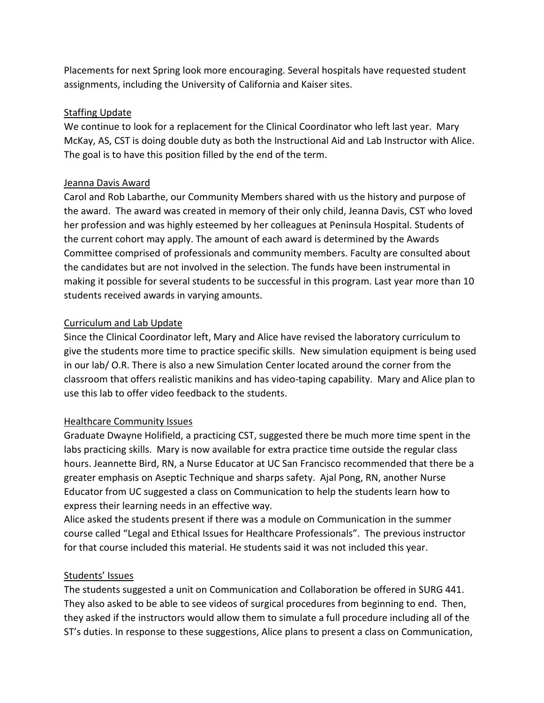Placements for next Spring look more encouraging. Several hospitals have requested student assignments, including the University of California and Kaiser sites.

### Staffing Update

We continue to look for a replacement for the Clinical Coordinator who left last year. Mary McKay, AS, CST is doing double duty as both the Instructional Aid and Lab Instructor with Alice. The goal is to have this position filled by the end of the term.

### Jeanna Davis Award

Carol and Rob Labarthe, our Community Members shared with us the history and purpose of the award. The award was created in memory of their only child, Jeanna Davis, CST who loved her profession and was highly esteemed by her colleagues at Peninsula Hospital. Students of the current cohort may apply. The amount of each award is determined by the Awards Committee comprised of professionals and community members. Faculty are consulted about the candidates but are not involved in the selection. The funds have been instrumental in making it possible for several students to be successful in this program. Last year more than 10 students received awards in varying amounts.

### Curriculum and Lab Update

Since the Clinical Coordinator left, Mary and Alice have revised the laboratory curriculum to give the students more time to practice specific skills. New simulation equipment is being used in our lab/ O.R. There is also a new Simulation Center located around the corner from the classroom that offers realistic manikins and has video-taping capability. Mary and Alice plan to use this lab to offer video feedback to the students.

## Healthcare Community Issues

Graduate Dwayne Holifield, a practicing CST, suggested there be much more time spent in the labs practicing skills. Mary is now available for extra practice time outside the regular class hours. Jeannette Bird, RN, a Nurse Educator at UC San Francisco recommended that there be a greater emphasis on Aseptic Technique and sharps safety. Ajal Pong, RN, another Nurse Educator from UC suggested a class on Communication to help the students learn how to express their learning needs in an effective way.

Alice asked the students present if there was a module on Communication in the summer course called "Legal and Ethical Issues for Healthcare Professionals". The previous instructor for that course included this material. He students said it was not included this year.

### Students' Issues

The students suggested a unit on Communication and Collaboration be offered in SURG 441. They also asked to be able to see videos of surgical procedures from beginning to end. Then, they asked if the instructors would allow them to simulate a full procedure including all of the ST's duties. In response to these suggestions, Alice plans to present a class on Communication,